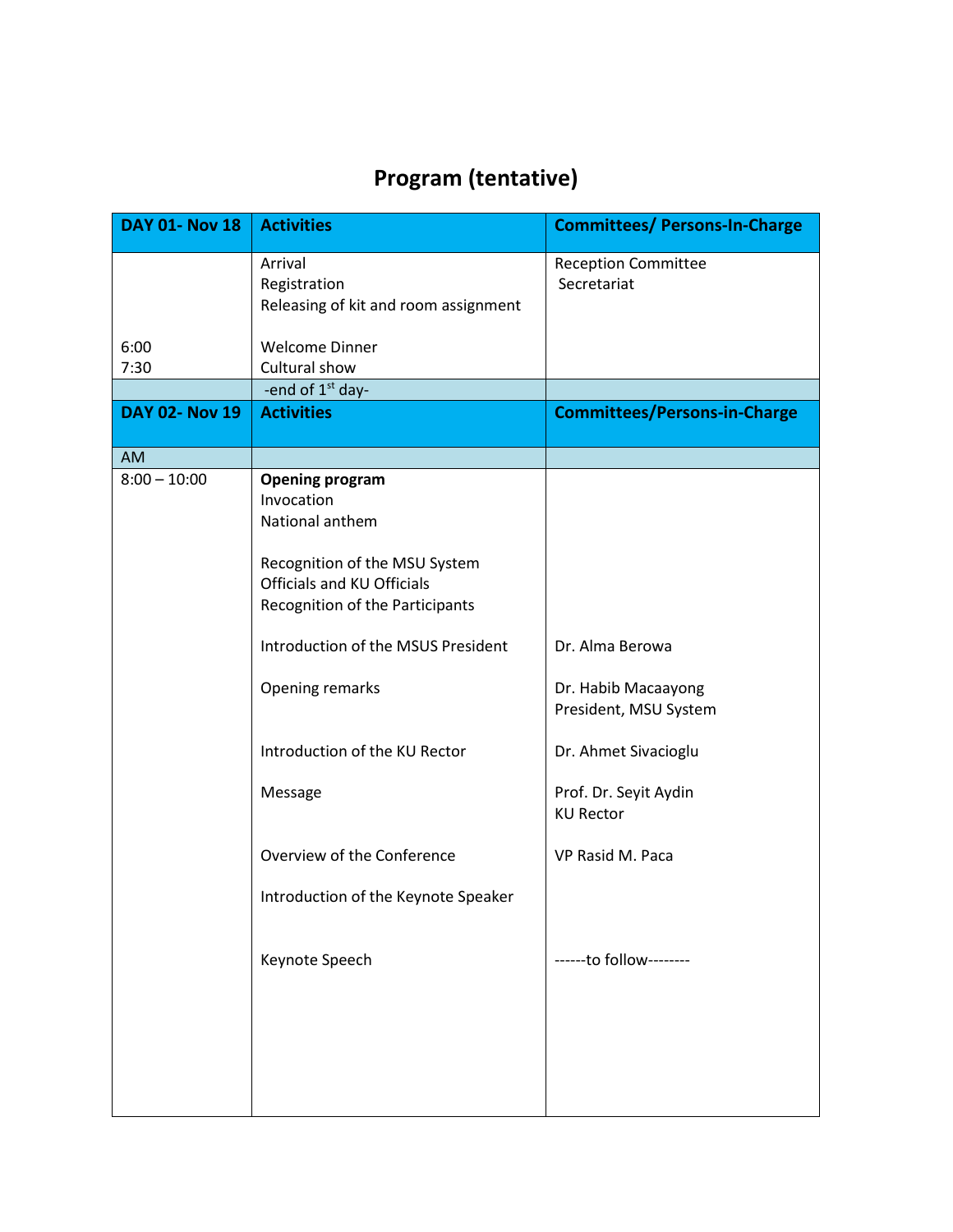## **Program (tentative)**

| <b>DAY 01- Nov 18</b> | <b>Activities</b>                                                                                                                                                                                                                                                                            | <b>Committees/ Persons-In-Charge</b>                                                                                                                     |
|-----------------------|----------------------------------------------------------------------------------------------------------------------------------------------------------------------------------------------------------------------------------------------------------------------------------------------|----------------------------------------------------------------------------------------------------------------------------------------------------------|
|                       | Arrival<br>Registration<br>Releasing of kit and room assignment                                                                                                                                                                                                                              | <b>Reception Committee</b><br>Secretariat                                                                                                                |
| 6:00                  | <b>Welcome Dinner</b>                                                                                                                                                                                                                                                                        |                                                                                                                                                          |
| 7:30                  | Cultural show                                                                                                                                                                                                                                                                                |                                                                                                                                                          |
|                       | -end of 1 <sup>st</sup> day-                                                                                                                                                                                                                                                                 |                                                                                                                                                          |
| <b>DAY 02- Nov 19</b> | <b>Activities</b>                                                                                                                                                                                                                                                                            | <b>Committees/Persons-in-Charge</b>                                                                                                                      |
| <b>AM</b>             |                                                                                                                                                                                                                                                                                              |                                                                                                                                                          |
| $8:00 - 10:00$        | <b>Opening program</b><br>Invocation<br>National anthem<br>Recognition of the MSU System<br>Officials and KU Officials<br>Recognition of the Participants<br>Introduction of the MSUS President<br>Opening remarks<br>Introduction of the KU Rector<br>Message<br>Overview of the Conference | Dr. Alma Berowa<br>Dr. Habib Macaayong<br>President, MSU System<br>Dr. Ahmet Sivacioglu<br>Prof. Dr. Seyit Aydin<br><b>KU Rector</b><br>VP Rasid M. Paca |
|                       | Introduction of the Keynote Speaker                                                                                                                                                                                                                                                          |                                                                                                                                                          |
|                       | Keynote Speech                                                                                                                                                                                                                                                                               | ------to follow--------                                                                                                                                  |